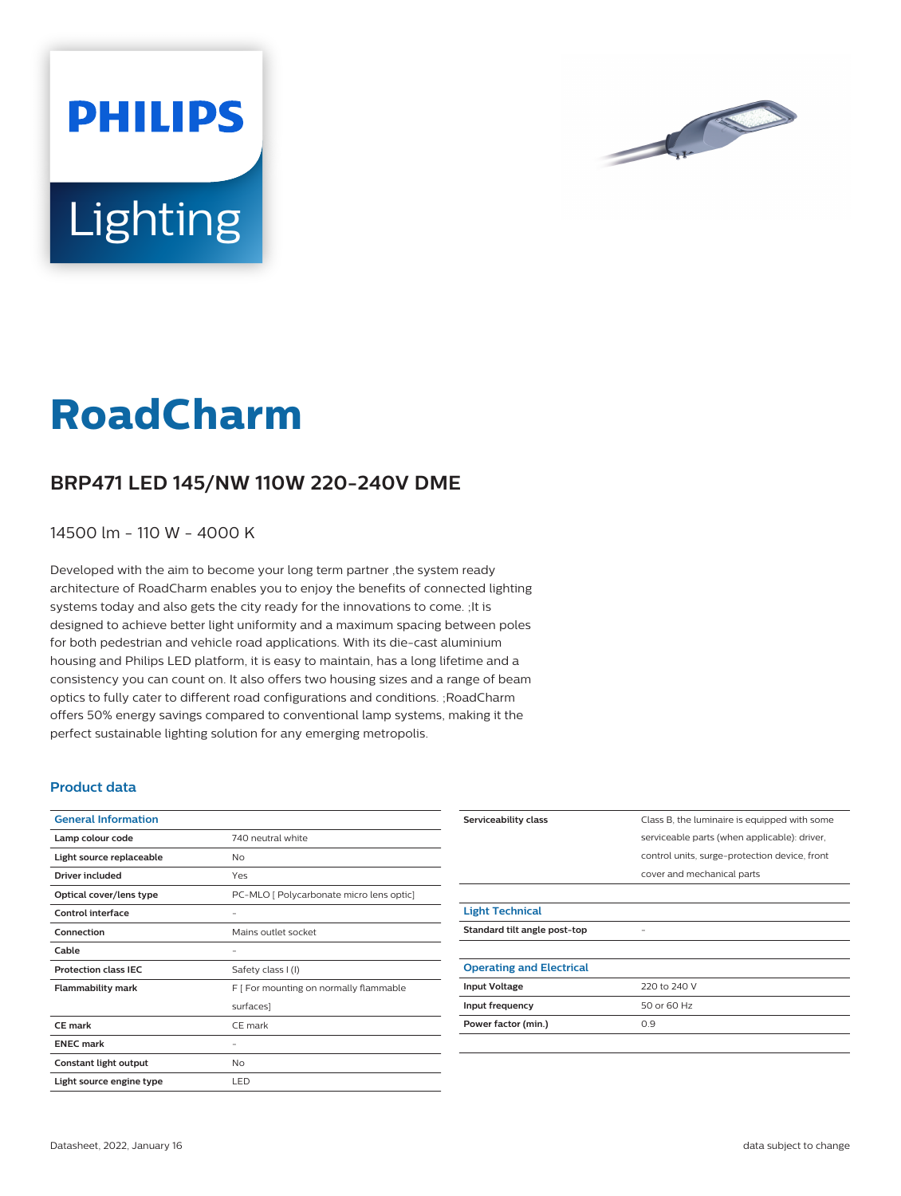

# **Lighting**

**PHILIPS** 

# **RoadCharm**

## **BRP471 LED 145/NW 110W 220-240V DME**

14500 lm - 110 W - 4000 K

Developed with the aim to become your long term partner ,the system ready architecture of RoadCharm enables you to enjoy the benefits of connected lighting systems today and also gets the city ready for the innovations to come. ;It is designed to achieve better light uniformity and a maximum spacing between poles for both pedestrian and vehicle road applications. With its die-cast aluminium housing and Philips LED platform, it is easy to maintain, has a long lifetime and a consistency you can count on. It also offers two housing sizes and a range of beam optics to fully cater to different road configurations and conditions. ;RoadCharm offers 50% energy savings compared to conventional lamp systems, making it the perfect sustainable lighting solution for any emerging metropolis.

#### **Product data**

| <b>General Information</b>  |                                          |
|-----------------------------|------------------------------------------|
| Lamp colour code            | 740 neutral white                        |
| Light source replaceable    | No                                       |
| Driver included             | Yes                                      |
| Optical cover/lens type     | PC-MLO [ Polycarbonate micro lens optic] |
| Control interface           |                                          |
| Connection                  | Mains outlet socket                      |
| Cable                       | -                                        |
| <b>Protection class IEC</b> | Safety class I (I)                       |
| <b>Flammability mark</b>    | F [ For mounting on normally flammable   |
|                             | surfaces]                                |
| CE mark                     | CE mark                                  |
| <b>ENEC mark</b>            |                                          |
| Constant light output       | No                                       |
| Light source engine type    | LED                                      |

| Serviceability class            | Class B, the luminaire is equipped with some  |
|---------------------------------|-----------------------------------------------|
|                                 | serviceable parts (when applicable): driver,  |
|                                 | control units, surge-protection device, front |
|                                 | cover and mechanical parts                    |
|                                 |                                               |
| <b>Light Technical</b>          |                                               |
| Standard tilt angle post-top    |                                               |
|                                 |                                               |
| <b>Operating and Electrical</b> |                                               |
| <b>Input Voltage</b>            | 220 to 240 V                                  |
| Input frequency                 | 50 or 60 Hz                                   |
| Power factor (min.)             | 0.9                                           |
|                                 |                                               |